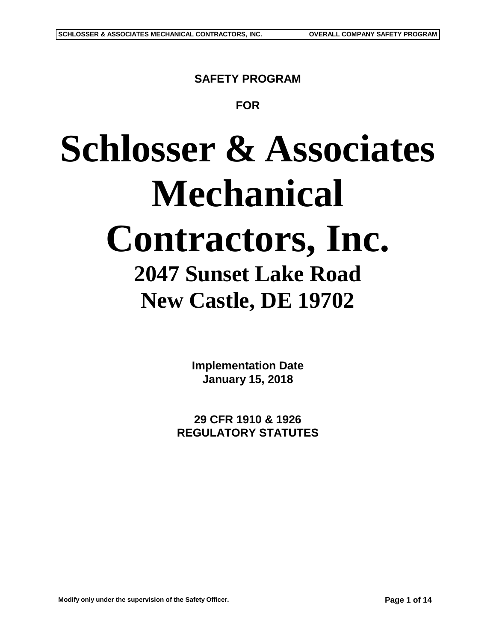**SAFETY PROGRAM**

**FOR**

# **Schlosser & Associates Mechanical Contractors, Inc. 2047 Sunset Lake Road New Castle, DE 19702**

**Implementation Date January 15, 2018**

**29 CFR 1910 & 1926 REGULATORY STATUTES**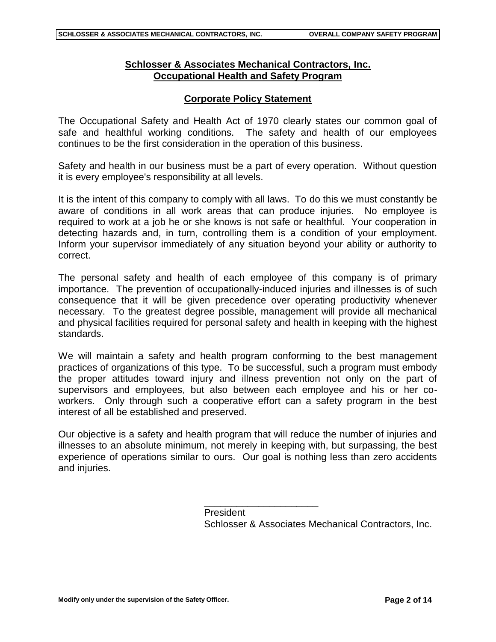## **Schlosser & Associates Mechanical Contractors, Inc. Occupational Health and Safety Program**

## **Corporate Policy Statement**

The Occupational Safety and Health Act of 1970 clearly states our common goal of safe and healthful working conditions. The safety and health of our employees continues to be the first consideration in the operation of this business.

Safety and health in our business must be a part of every operation. Without question it is every employee's responsibility at all levels.

It is the intent of this company to comply with all laws. To do this we must constantly be aware of conditions in all work areas that can produce injuries. No employee is required to work at a job he or she knows is not safe or healthful. Your cooperation in detecting hazards and, in turn, controlling them is a condition of your employment. Inform your supervisor immediately of any situation beyond your ability or authority to correct.

The personal safety and health of each employee of this company is of primary importance. The prevention of occupationally-induced injuries and illnesses is of such consequence that it will be given precedence over operating productivity whenever necessary. To the greatest degree possible, management will provide all mechanical and physical facilities required for personal safety and health in keeping with the highest standards.

We will maintain a safety and health program conforming to the best management practices of organizations of this type. To be successful, such a program must embody the proper attitudes toward injury and illness prevention not only on the part of supervisors and employees, but also between each employee and his or her coworkers. Only through such a cooperative effort can a safety program in the best interest of all be established and preserved.

Our objective is a safety and health program that will reduce the number of injuries and illnesses to an absolute minimum, not merely in keeping with, but surpassing, the best experience of operations similar to ours. Our goal is nothing less than zero accidents and injuries.

\_\_\_\_\_\_\_\_\_\_\_\_\_\_\_\_\_\_\_\_\_

President Schlosser & Associates Mechanical Contractors, Inc.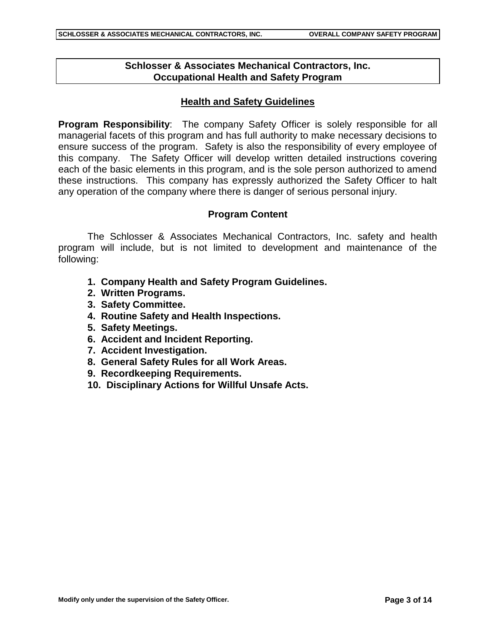## **Schlosser & Associates Mechanical Contractors, Inc. Occupational Health and Safety Program**

## **Health and Safety Guidelines**

**Program Responsibility**: The company Safety Officer is solely responsible for all managerial facets of this program and has full authority to make necessary decisions to ensure success of the program. Safety is also the responsibility of every employee of this company. The Safety Officer will develop written detailed instructions covering each of the basic elements in this program, and is the sole person authorized to amend these instructions. This company has expressly authorized the Safety Officer to halt any operation of the company where there is danger of serious personal injury.

#### **Program Content**

The Schlosser & Associates Mechanical Contractors, Inc. safety and health program will include, but is not limited to development and maintenance of the following:

- **1. Company Health and Safety Program Guidelines.**
- **2. Written Programs.**
- **3. Safety Committee.**
- **4. Routine Safety and Health Inspections.**
- **5. Safety Meetings.**
- **6. Accident and Incident Reporting.**
- **7. Accident Investigation.**
- **8. General Safety Rules for all Work Areas.**
- **9. Recordkeeping Requirements.**
- **10. Disciplinary Actions for Willful Unsafe Acts.**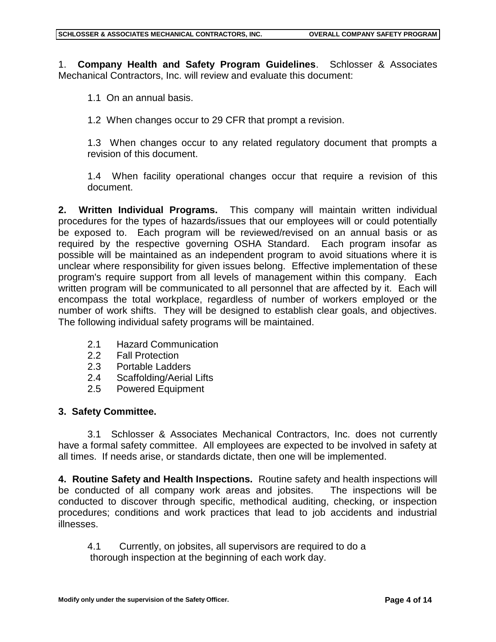1. **Company Health and Safety Program Guidelines**. Schlosser & Associates Mechanical Contractors, Inc. will review and evaluate this document:

1.1 On an annual basis.

1.2 When changes occur to 29 CFR that prompt a revision.

1.3 When changes occur to any related regulatory document that prompts a revision of this document.

1.4 When facility operational changes occur that require a revision of this document.

**2. Written Individual Programs.** This company will maintain written individual procedures for the types of hazards/issues that our employees will or could potentially be exposed to. Each program will be reviewed/revised on an annual basis or as required by the respective governing OSHA Standard. Each program insofar as possible will be maintained as an independent program to avoid situations where it is unclear where responsibility for given issues belong. Effective implementation of these program's require support from all levels of management within this company. Each written program will be communicated to all personnel that are affected by it. Each will encompass the total workplace, regardless of number of workers employed or the number of work shifts. They will be designed to establish clear goals, and objectives. The following individual safety programs will be maintained.

- 2.1 Hazard Communication
- 2.2 Fall Protection
- 2.3 Portable Ladders
- 2.4 Scaffolding/Aerial Lifts
- 2.5 Powered Equipment

#### **3. Safety Committee.**

3.1 Schlosser & Associates Mechanical Contractors, Inc. does not currently have a formal safety committee. All employees are expected to be involved in safety at all times. If needs arise, or standards dictate, then one will be implemented.

**4. Routine Safety and Health Inspections.** Routine safety and health inspections will be conducted of all company work areas and jobsites. The inspections will be conducted to discover through specific, methodical auditing, checking, or inspection procedures; conditions and work practices that lead to job accidents and industrial illnesses.

4.1 Currently, on jobsites, all supervisors are required to do a thorough inspection at the beginning of each work day.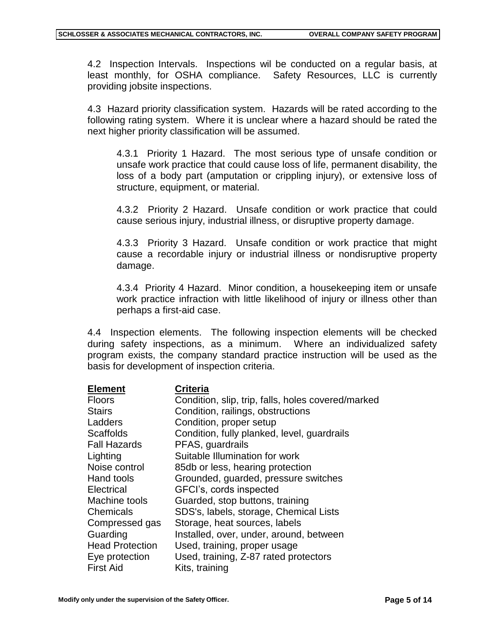4.2 Inspection Intervals. Inspections wil be conducted on a regular basis, at least monthly, for OSHA compliance. Safety Resources, LLC is currently providing jobsite inspections.

4.3 Hazard priority classification system. Hazards will be rated according to the following rating system. Where it is unclear where a hazard should be rated the next higher priority classification will be assumed.

4.3.1 Priority 1 Hazard. The most serious type of unsafe condition or unsafe work practice that could cause loss of life, permanent disability, the loss of a body part (amputation or crippling injury), or extensive loss of structure, equipment, or material.

4.3.2 Priority 2 Hazard. Unsafe condition or work practice that could cause serious injury, industrial illness, or disruptive property damage.

4.3.3 Priority 3 Hazard. Unsafe condition or work practice that might cause a recordable injury or industrial illness or nondisruptive property damage.

4.3.4 Priority 4 Hazard. Minor condition, a housekeeping item or unsafe work practice infraction with little likelihood of injury or illness other than perhaps a first-aid case.

4.4 Inspection elements. The following inspection elements will be checked during safety inspections, as a minimum. Where an individualized safety program exists, the company standard practice instruction will be used as the basis for development of inspection criteria.

| <b>Element</b>         | <b>Criteria</b>                                    |
|------------------------|----------------------------------------------------|
| <b>Floors</b>          | Condition, slip, trip, falls, holes covered/marked |
| <b>Stairs</b>          | Condition, railings, obstructions                  |
| Ladders                | Condition, proper setup                            |
| <b>Scaffolds</b>       | Condition, fully planked, level, guardrails        |
| <b>Fall Hazards</b>    | PFAS, guardrails                                   |
| Lighting               | Suitable Illumination for work                     |
| Noise control          | 85db or less, hearing protection                   |
| Hand tools             | Grounded, guarded, pressure switches               |
| Electrical             | GFCI's, cords inspected                            |
| Machine tools          | Guarded, stop buttons, training                    |
| Chemicals              | SDS's, labels, storage, Chemical Lists             |
| Compressed gas         | Storage, heat sources, labels                      |
| Guarding               | Installed, over, under, around, between            |
| <b>Head Protection</b> | Used, training, proper usage                       |
| Eye protection         | Used, training, Z-87 rated protectors              |
| <b>First Aid</b>       | Kits, training                                     |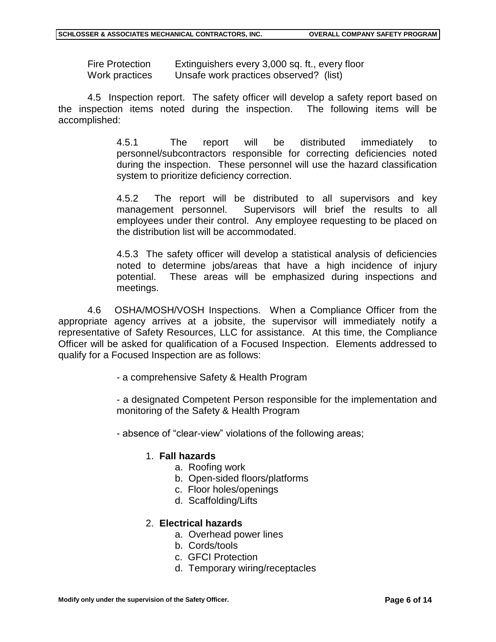Fire Protection Extinguishers every 3,000 sq. ft., every floor Work practices Unsafe work practices observed? (list)

4.5 Inspection report. The safety officer will develop a safety report based on the inspection items noted during the inspection. The following items will be accomplished:

> 4.5.1 The report will be distributed immediately to personnel/subcontractors responsible for correcting deficiencies noted during the inspection. These personnel will use the hazard classification system to prioritize deficiency correction.

> 4.5.2 The report will be distributed to all supervisors and key management personnel. Supervisors will brief the results to all employees under their control. Any employee requesting to be placed on the distribution list will be accommodated.

> 4.5.3 The safety officer will develop a statistical analysis of deficiencies noted to determine jobs/areas that have a high incidence of injury potential. These areas will be emphasized during inspections and meetings.

4.6 OSHA/MOSH/VOSH Inspections. When a Compliance Officer from the appropriate agency arrives at a jobsite, the supervisor will immediately notify a representative of Safety Resources, LLC for assistance. At this time, the Compliance Officer will be asked for qualification of a Focused Inspection. Elements addressed to qualify for a Focused Inspection are as follows:

- a comprehensive Safety & Health Program

- a designated Competent Person responsible for the implementation and monitoring of the Safety & Health Program

- absence of "clear-view" violations of the following areas;

#### 1. **Fall hazards**

- a. Roofing work
- b. Open-sided floors/platforms
- c. Floor holes/openings
- d. Scaffolding/Lifts

#### 2. **Electrical hazards**

- a. Overhead power lines
- b. Cords/tools
- c. GFCI Protection
- d. Temporary wiring/receptacles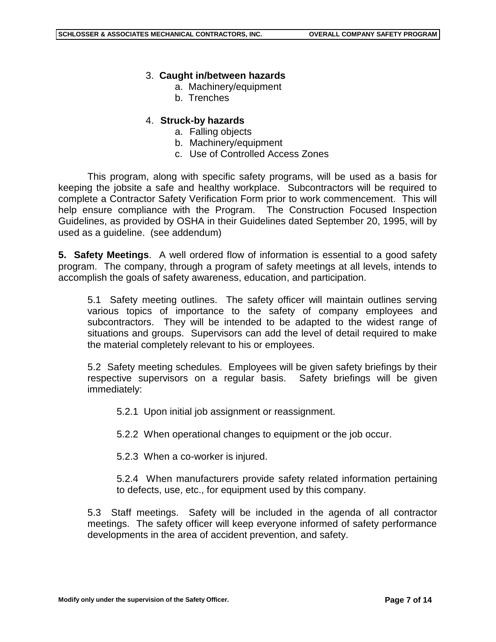## 3. **Caught in/between hazards**

- a. Machinery/equipment
- b. Trenches

## 4. **Struck-by hazards**

- a. Falling objects
- b. Machinery/equipment
- c. Use of Controlled Access Zones

This program, along with specific safety programs, will be used as a basis for keeping the jobsite a safe and healthy workplace. Subcontractors will be required to complete a Contractor Safety Verification Form prior to work commencement. This will help ensure compliance with the Program. The Construction Focused Inspection Guidelines, as provided by OSHA in their Guidelines dated September 20, 1995, will by used as a guideline. (see addendum)

**5. Safety Meetings**. A well ordered flow of information is essential to a good safety program. The company, through a program of safety meetings at all levels, intends to accomplish the goals of safety awareness, education, and participation.

5.1 Safety meeting outlines. The safety officer will maintain outlines serving various topics of importance to the safety of company employees and subcontractors. They will be intended to be adapted to the widest range of situations and groups. Supervisors can add the level of detail required to make the material completely relevant to his or employees.

5.2 Safety meeting schedules. Employees will be given safety briefings by their respective supervisors on a regular basis. Safety briefings will be given immediately:

5.2.1 Upon initial job assignment or reassignment.

5.2.2 When operational changes to equipment or the job occur.

5.2.3 When a co-worker is injured.

5.2.4 When manufacturers provide safety related information pertaining to defects, use, etc., for equipment used by this company.

5.3 Staff meetings. Safety will be included in the agenda of all contractor meetings. The safety officer will keep everyone informed of safety performance developments in the area of accident prevention, and safety.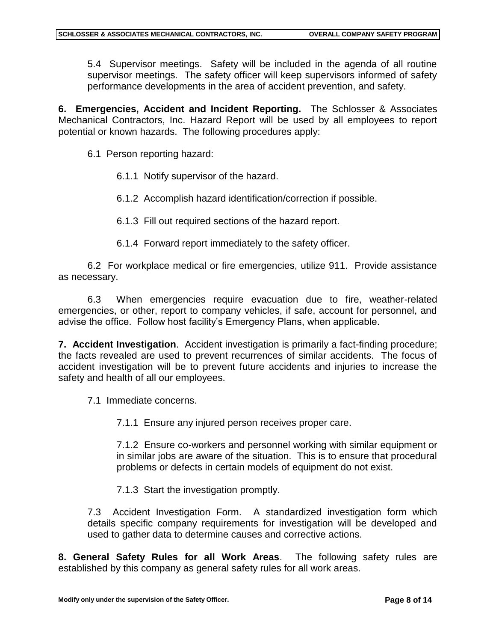5.4 Supervisor meetings. Safety will be included in the agenda of all routine supervisor meetings. The safety officer will keep supervisors informed of safety performance developments in the area of accident prevention, and safety.

**6. Emergencies, Accident and Incident Reporting.** The Schlosser & Associates Mechanical Contractors, Inc. Hazard Report will be used by all employees to report potential or known hazards. The following procedures apply:

6.1 Person reporting hazard:

6.1.1 Notify supervisor of the hazard.

6.1.2 Accomplish hazard identification/correction if possible.

6.1.3 Fill out required sections of the hazard report.

6.1.4 Forward report immediately to the safety officer.

6.2 For workplace medical or fire emergencies, utilize 911. Provide assistance as necessary.

6.3 When emergencies require evacuation due to fire, weather-related emergencies, or other, report to company vehicles, if safe, account for personnel, and advise the office. Follow host facility's Emergency Plans, when applicable.

**7. Accident Investigation**. Accident investigation is primarily a fact-finding procedure; the facts revealed are used to prevent recurrences of similar accidents. The focus of accident investigation will be to prevent future accidents and injuries to increase the safety and health of all our employees.

7.1 Immediate concerns.

7.1.1 Ensure any injured person receives proper care.

7.1.2 Ensure co-workers and personnel working with similar equipment or in similar jobs are aware of the situation. This is to ensure that procedural problems or defects in certain models of equipment do not exist.

7.1.3 Start the investigation promptly.

7.3 Accident Investigation Form. A standardized investigation form which details specific company requirements for investigation will be developed and used to gather data to determine causes and corrective actions.

**8. General Safety Rules for all Work Areas**. The following safety rules are established by this company as general safety rules for all work areas.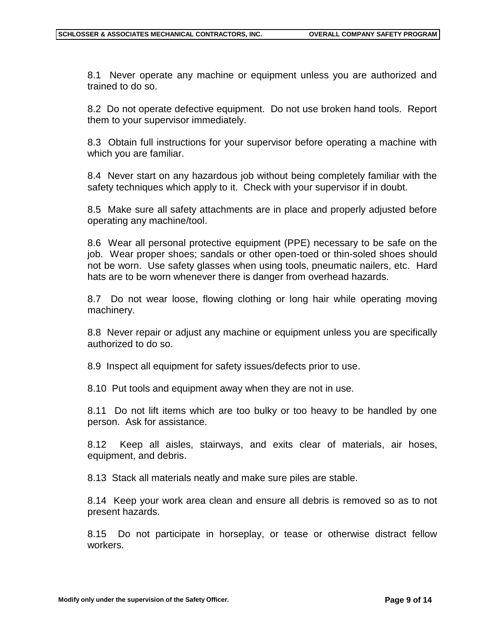8.1 Never operate any machine or equipment unless you are authorized and trained to do so.

8.2 Do not operate defective equipment. Do not use broken hand tools. Report them to your supervisor immediately.

8.3 Obtain full instructions for your supervisor before operating a machine with which you are familiar.

8.4 Never start on any hazardous job without being completely familiar with the safety techniques which apply to it. Check with your supervisor if in doubt.

8.5 Make sure all safety attachments are in place and properly adjusted before operating any machine/tool.

8.6 Wear all personal protective equipment (PPE) necessary to be safe on the job. Wear proper shoes; sandals or other open-toed or thin-soled shoes should not be worn. Use safety glasses when using tools, pneumatic nailers, etc. Hard hats are to be worn whenever there is danger from overhead hazards.

8.7 Do not wear loose, flowing clothing or long hair while operating moving machinery.

8.8 Never repair or adjust any machine or equipment unless you are specifically authorized to do so.

8.9 Inspect all equipment for safety issues/defects prior to use.

8.10 Put tools and equipment away when they are not in use.

8.11 Do not lift items which are too bulky or too heavy to be handled by one person. Ask for assistance.

8.12 Keep all aisles, stairways, and exits clear of materials, air hoses, equipment, and debris.

8.13 Stack all materials neatly and make sure piles are stable.

8.14 Keep your work area clean and ensure all debris is removed so as to not present hazards.

8.15 Do not participate in horseplay, or tease or otherwise distract fellow workers.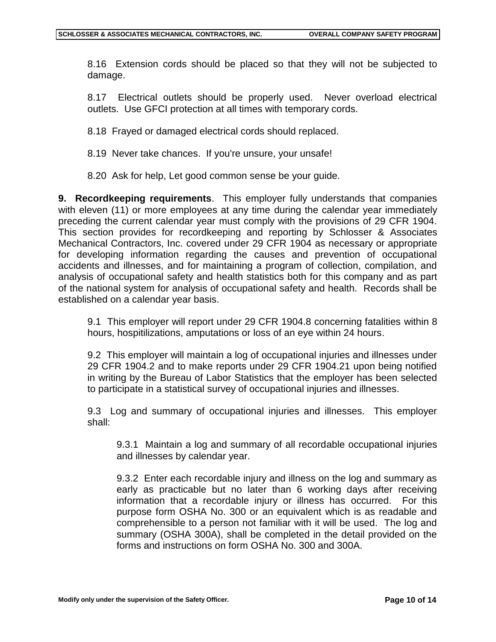8.16 Extension cords should be placed so that they will not be subjected to damage.

8.17 Electrical outlets should be properly used. Never overload electrical outlets. Use GFCI protection at all times with temporary cords.

8.18 Frayed or damaged electrical cords should replaced.

8.19 Never take chances. If you're unsure, your unsafe!

8.20 Ask for help, Let good common sense be your guide.

**9. Recordkeeping requirements**. This employer fully understands that companies with eleven (11) or more employees at any time during the calendar year immediately preceding the current calendar year must comply with the provisions of 29 CFR 1904. This section provides for recordkeeping and reporting by Schlosser & Associates Mechanical Contractors, Inc. covered under 29 CFR 1904 as necessary or appropriate for developing information regarding the causes and prevention of occupational accidents and illnesses, and for maintaining a program of collection, compilation, and analysis of occupational safety and health statistics both for this company and as part of the national system for analysis of occupational safety and health. Records shall be established on a calendar year basis.

9.1 This employer will report under 29 CFR 1904.8 concerning fatalities within 8 hours, hospitilizations, amputations or loss of an eye within 24 hours.

9.2 This employer will maintain a log of occupational injuries and illnesses under 29 CFR 1904.2 and to make reports under 29 CFR 1904.21 upon being notified in writing by the Bureau of Labor Statistics that the employer has been selected to participate in a statistical survey of occupational injuries and illnesses.

9.3 Log and summary of occupational injuries and illnesses. This employer shall:

9.3.1 Maintain a log and summary of all recordable occupational injuries and illnesses by calendar year.

9.3.2 Enter each recordable injury and illness on the log and summary as early as practicable but no later than 6 working days after receiving information that a recordable injury or illness has occurred. For this purpose form OSHA No. 300 or an equivalent which is as readable and comprehensible to a person not familiar with it will be used. The log and summary (OSHA 300A), shall be completed in the detail provided on the forms and instructions on form OSHA No. 300 and 300A.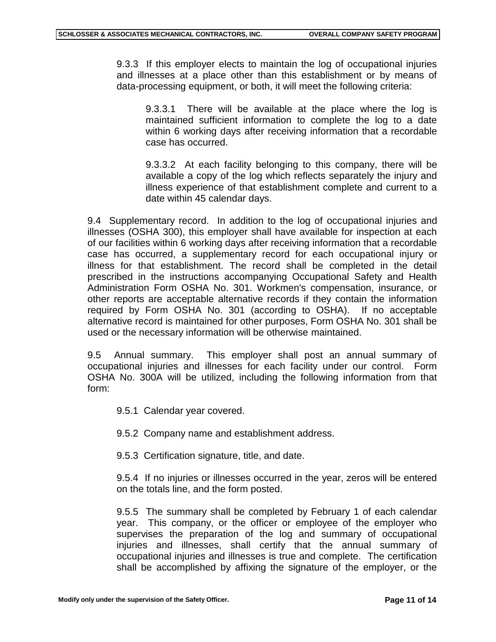9.3.3 If this employer elects to maintain the log of occupational injuries and illnesses at a place other than this establishment or by means of data-processing equipment, or both, it will meet the following criteria:

9.3.3.1 There will be available at the place where the log is maintained sufficient information to complete the log to a date within 6 working days after receiving information that a recordable case has occurred.

9.3.3.2 At each facility belonging to this company, there will be available a copy of the log which reflects separately the injury and illness experience of that establishment complete and current to a date within 45 calendar days.

9.4 Supplementary record. In addition to the log of occupational injuries and illnesses (OSHA 300), this employer shall have available for inspection at each of our facilities within 6 working days after receiving information that a recordable case has occurred, a supplementary record for each occupational injury or illness for that establishment. The record shall be completed in the detail prescribed in the instructions accompanying Occupational Safety and Health Administration Form OSHA No. 301. Workmen's compensation, insurance, or other reports are acceptable alternative records if they contain the information required by Form OSHA No. 301 (according to OSHA). If no acceptable alternative record is maintained for other purposes, Form OSHA No. 301 shall be used or the necessary information will be otherwise maintained.

9.5 Annual summary. This employer shall post an annual summary of occupational injuries and illnesses for each facility under our control. Form OSHA No. 300A will be utilized, including the following information from that form:

- 9.5.1 Calendar year covered.
- 9.5.2 Company name and establishment address.
- 9.5.3 Certification signature, title, and date.

9.5.4 If no injuries or illnesses occurred in the year, zeros will be entered on the totals line, and the form posted.

9.5.5 The summary shall be completed by February 1 of each calendar year. This company, or the officer or employee of the employer who supervises the preparation of the log and summary of occupational injuries and illnesses, shall certify that the annual summary of occupational injuries and illnesses is true and complete. The certification shall be accomplished by affixing the signature of the employer, or the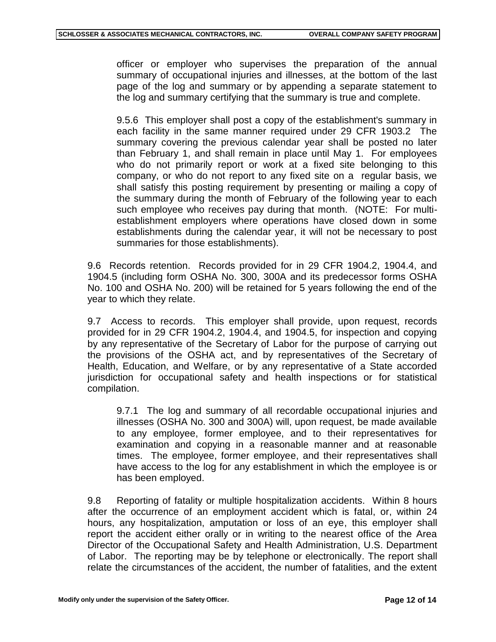officer or employer who supervises the preparation of the annual summary of occupational injuries and illnesses, at the bottom of the last page of the log and summary or by appending a separate statement to the log and summary certifying that the summary is true and complete.

9.5.6 This employer shall post a copy of the establishment's summary in each facility in the same manner required under 29 CFR 1903.2 The summary covering the previous calendar year shall be posted no later than February 1, and shall remain in place until May 1. For employees who do not primarily report or work at a fixed site belonging to this company, or who do not report to any fixed site on a regular basis, we shall satisfy this posting requirement by presenting or mailing a copy of the summary during the month of February of the following year to each such employee who receives pay during that month. (NOTE: For multiestablishment employers where operations have closed down in some establishments during the calendar year, it will not be necessary to post summaries for those establishments).

9.6 Records retention. Records provided for in 29 CFR 1904.2, 1904.4, and 1904.5 (including form OSHA No. 300, 300A and its predecessor forms OSHA No. 100 and OSHA No. 200) will be retained for 5 years following the end of the year to which they relate.

9.7 Access to records. This employer shall provide, upon request, records provided for in 29 CFR 1904.2, 1904.4, and 1904.5, for inspection and copying by any representative of the Secretary of Labor for the purpose of carrying out the provisions of the OSHA act, and by representatives of the Secretary of Health, Education, and Welfare, or by any representative of a State accorded jurisdiction for occupational safety and health inspections or for statistical compilation.

9.7.1 The log and summary of all recordable occupational injuries and illnesses (OSHA No. 300 and 300A) will, upon request, be made available to any employee, former employee, and to their representatives for examination and copying in a reasonable manner and at reasonable times. The employee, former employee, and their representatives shall have access to the log for any establishment in which the employee is or has been employed.

9.8 Reporting of fatality or multiple hospitalization accidents. Within 8 hours after the occurrence of an employment accident which is fatal, or, within 24 hours, any hospitalization, amputation or loss of an eye, this employer shall report the accident either orally or in writing to the nearest office of the Area Director of the Occupational Safety and Health Administration, U.S. Department of Labor. The reporting may be by telephone or electronically. The report shall relate the circumstances of the accident, the number of fatalities, and the extent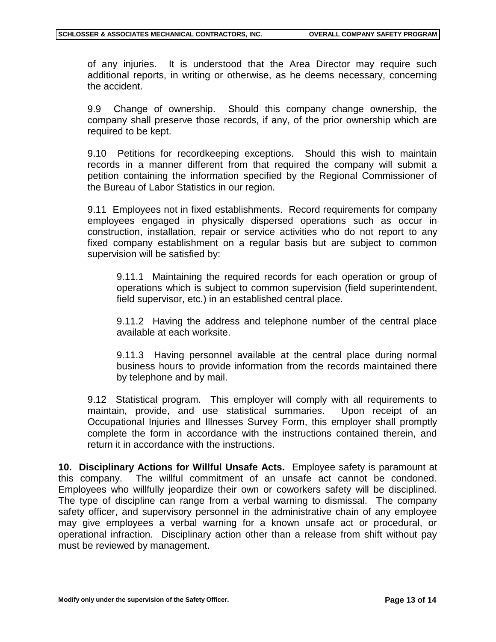of any injuries. It is understood that the Area Director may require such additional reports, in writing or otherwise, as he deems necessary, concerning the accident.

9.9 Change of ownership. Should this company change ownership, the company shall preserve those records, if any, of the prior ownership which are required to be kept.

9.10 Petitions for recordkeeping exceptions. Should this wish to maintain records in a manner different from that required the company will submit a petition containing the information specified by the Regional Commissioner of the Bureau of Labor Statistics in our region.

9.11 Employees not in fixed establishments. Record requirements for company employees engaged in physically dispersed operations such as occur in construction, installation, repair or service activities who do not report to any fixed company establishment on a regular basis but are subject to common supervision will be satisfied by:

9.11.1 Maintaining the required records for each operation or group of operations which is subject to common supervision (field superintendent, field supervisor, etc.) in an established central place.

9.11.2 Having the address and telephone number of the central place available at each worksite.

9.11.3 Having personnel available at the central place during normal business hours to provide information from the records maintained there by telephone and by mail.

9.12 Statistical program. This employer will comply with all requirements to maintain, provide, and use statistical summaries. Upon receipt of an Occupational Injuries and Illnesses Survey Form, this employer shall promptly complete the form in accordance with the instructions contained therein, and return it in accordance with the instructions.

**10. Disciplinary Actions for Willful Unsafe Acts.** Employee safety is paramount at this company. The willful commitment of an unsafe act cannot be condoned. Employees who willfully jeopardize their own or coworkers safety will be disciplined. The type of discipline can range from a verbal warning to dismissal. The company safety officer, and supervisory personnel in the administrative chain of any employee may give employees a verbal warning for a known unsafe act or procedural, or operational infraction. Disciplinary action other than a release from shift without pay must be reviewed by management.